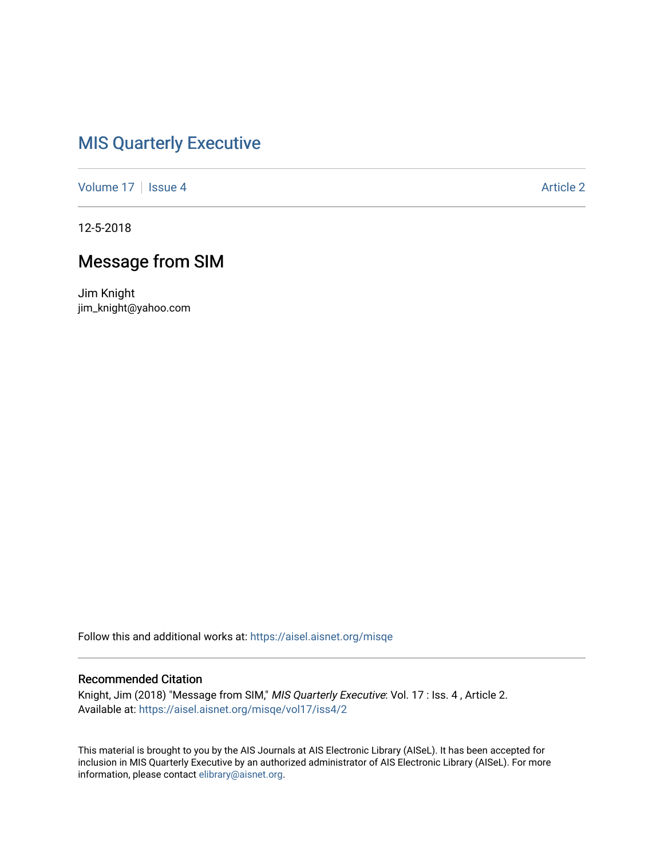## [MIS Quarterly Executive](https://aisel.aisnet.org/misqe)

[Volume 17](https://aisel.aisnet.org/misqe/vol17) | [Issue 4](https://aisel.aisnet.org/misqe/vol17/iss4) Article 2

12-5-2018

## Message from SIM

Jim Knight jim\_knight@yahoo.com

Follow this and additional works at: [https://aisel.aisnet.org/misqe](https://aisel.aisnet.org/misqe?utm_source=aisel.aisnet.org%2Fmisqe%2Fvol17%2Fiss4%2F2&utm_medium=PDF&utm_campaign=PDFCoverPages)

## Recommended Citation

Knight, Jim (2018) "Message from SIM," MIS Quarterly Executive: Vol. 17 : Iss. 4, Article 2. Available at: [https://aisel.aisnet.org/misqe/vol17/iss4/2](https://aisel.aisnet.org/misqe/vol17/iss4/2?utm_source=aisel.aisnet.org%2Fmisqe%2Fvol17%2Fiss4%2F2&utm_medium=PDF&utm_campaign=PDFCoverPages)

This material is brought to you by the AIS Journals at AIS Electronic Library (AISeL). It has been accepted for inclusion in MIS Quarterly Executive by an authorized administrator of AIS Electronic Library (AISeL). For more information, please contact [elibrary@aisnet.org.](mailto:elibrary@aisnet.org%3E)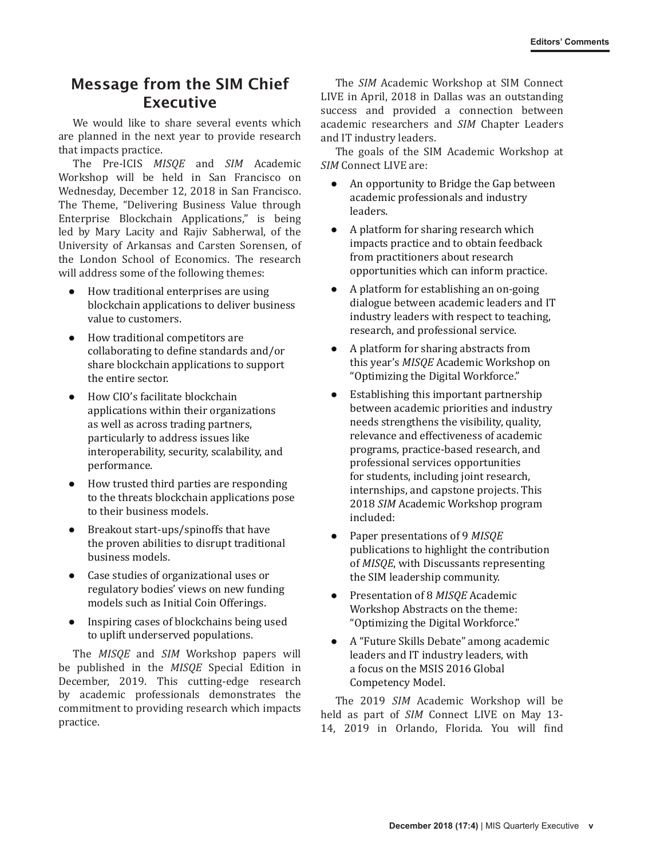## Message from the SIM Chief Executive

We would like to share several events which are planned in the next year to provide research that impacts practice.

The Pre-ICIS *MISQE* and *SIM* Academic Workshop will be held in San Francisco on Wednesday, December 12, 2018 in San Francisco. The Theme, "Delivering Business Value through Enterprise Blockchain Applications," is being led by Mary Lacity and Rajiv Sabherwal, of the University of Arkansas and Carsten Sorensen, of the London School of Economics. The research will address some of the following themes:

- **●** How traditional enterprises are using blockchain applications to deliver business value to customers.
- **●** How traditional competitors are collaborating to define standards and/or share blockchain applications to support the entire sector.
- **●** How CIO's facilitate blockchain applications within their organizations as well as across trading partners, particularly to address issues like interoperability, security, scalability, and performance.
- **●** How trusted third parties are responding to the threats blockchain applications pose to their business models.
- **●** Breakout start-ups/spinoffs that have the proven abilities to disrupt traditional business models.
- **●** Case studies of organizational uses or regulatory bodies' views on new funding models such as Initial Coin Offerings.
- **●** Inspiring cases of blockchains being used to uplift underserved populations.

The *MISQE* and *SIM* Workshop papers will be published in the *MISQE* Special Edition in December, 2019. This cutting-edge research by academic professionals demonstrates the commitment to providing research which impacts practice.

The *SIM* Academic Workshop at SIM Connect LIVE in April, 2018 in Dallas was an outstanding success and provided a connection between academic researchers and *SIM* Chapter Leaders and IT industry leaders.

The goals of the SIM Academic Workshop at *SIM* Connect LIVE are:

- **●** An opportunity to Bridge the Gap between academic professionals and industry leaders.
- **●** A platform for sharing research which impacts practice and to obtain feedback from practitioners about research opportunities which can inform practice.
- **●** A platform for establishing an on-going dialogue between academic leaders and IT industry leaders with respect to teaching, research, and professional service.
- **●** A platform for sharing abstracts from this year's *MISQE* Academic Workshop on "Optimizing the Digital Workforce."
- **●** Establishing this important partnership between academic priorities and industry needs strengthens the visibility, quality, relevance and effectiveness of academic programs, practice-based research, and professional services opportunities for students, including joint research, internships, and capstone projects. This 2018 *SIM* Academic Workshop program included:
- **●** Paper presentations of 9 *MISQE*  publications to highlight the contribution of *MISQE*, with Discussants representing the SIM leadership community.
- **●** Presentation of 8 *MISQE* Academic Workshop Abstracts on the theme: "Optimizing the Digital Workforce."
- **●** A "Future Skills Debate" among academic leaders and IT industry leaders, with a focus on the MSIS 2016 Global Competency Model.

The 2019 *SIM* Academic Workshop will be held as part of *SIM* Connect LIVE on May 13- 14, 2019 in Orlando, Florida. You will find